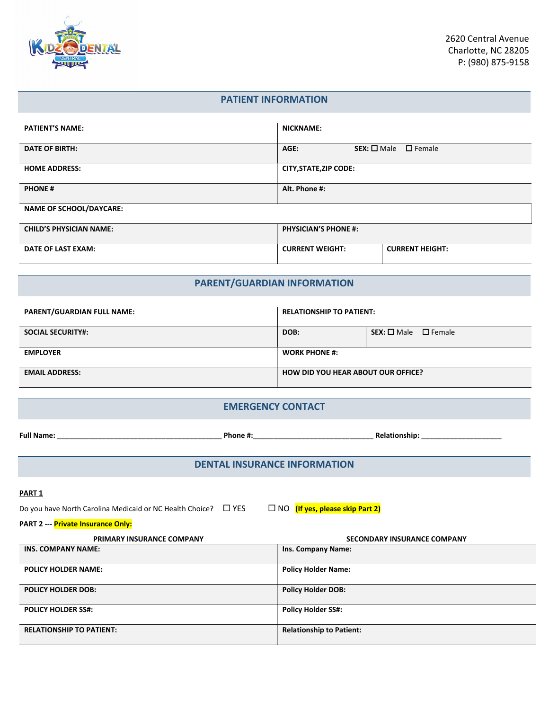

## **PATIENT INFORMATION**

| <b>PATIENT'S NAME:</b>         | <b>NICKNAME:</b>                                 |                                |  |  |
|--------------------------------|--------------------------------------------------|--------------------------------|--|--|
| <b>DATE OF BIRTH:</b>          | AGE:                                             | $SEX: \Box$ Male $\Box$ Female |  |  |
| <b>HOME ADDRESS:</b>           | <b>CITY, STATE, ZIP CODE:</b>                    |                                |  |  |
| <b>PHONE#</b>                  | Alt. Phone #:                                    |                                |  |  |
| <b>NAME OF SCHOOL/DAYCARE:</b> |                                                  |                                |  |  |
| <b>CHILD'S PHYSICIAN NAME:</b> | <b>PHYSICIAN'S PHONE #:</b>                      |                                |  |  |
| DATE OF LAST EXAM:             | <b>CURRENT WEIGHT:</b><br><b>CURRENT HEIGHT:</b> |                                |  |  |

# **PARENT/GUARDIAN INFORMATION**

| <b>PARENT/GUARDIAN FULL NAME:</b> | <b>RELATIONSHIP TO PATIENT:</b>           |                                |  |
|-----------------------------------|-------------------------------------------|--------------------------------|--|
| <b>SOCIAL SECURITY#:</b>          | DOB:                                      | $SEX: \Box$ Male $\Box$ Female |  |
| <b>EMPLOYER</b>                   | <b>WORK PHONE #:</b>                      |                                |  |
| <b>EMAIL ADDRESS:</b>             | <b>HOW DID YOU HEAR ABOUT OUR OFFICE?</b> |                                |  |

## **EMERGENCY CONTACT**

|                                                                                                                                                                 |                                     | Relationship: and the state of the state of the state of the state of the state of the state of the state of the state of the state of the state of the state of the state of the state of the state of the state of the state |  |  |
|-----------------------------------------------------------------------------------------------------------------------------------------------------------------|-------------------------------------|--------------------------------------------------------------------------------------------------------------------------------------------------------------------------------------------------------------------------------|--|--|
|                                                                                                                                                                 | <b>DENTAL INSURANCE INFORMATION</b> |                                                                                                                                                                                                                                |  |  |
| <b>PART 1</b><br>□ NO (If yes, please skip Part 2)<br>Do you have North Carolina Medicaid or NC Health Choice? $\Box$ YES<br>PART 2 --- Private Insurance Only: |                                     |                                                                                                                                                                                                                                |  |  |
| PRIMARY INSURANCE COMPANY                                                                                                                                       |                                     | <b>SECONDARY INSURANCE COMPANY</b>                                                                                                                                                                                             |  |  |
| <b>INS. COMPANY NAME:</b>                                                                                                                                       |                                     | Ins. Company Name:                                                                                                                                                                                                             |  |  |
| <b>POLICY HOLDER NAME:</b>                                                                                                                                      |                                     | <b>Policy Holder Name:</b>                                                                                                                                                                                                     |  |  |
| <b>POLICY HOLDER DOB:</b>                                                                                                                                       |                                     | <b>Policy Holder DOB:</b>                                                                                                                                                                                                      |  |  |
| <b>POLICY HOLDER SS#:</b>                                                                                                                                       |                                     | <b>Policy Holder SS#:</b>                                                                                                                                                                                                      |  |  |

**RELATIONSHIP TO PATIENT: Relationship to Patient:**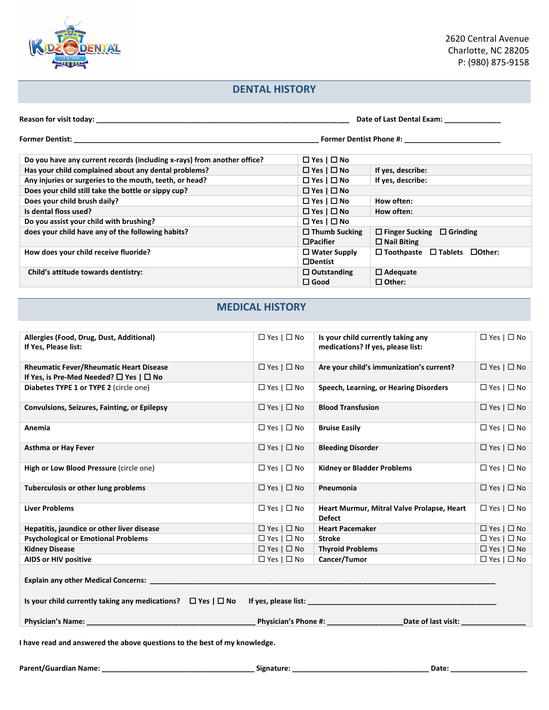

# **DENTAL HISTORY**

| Reason for visit today:<br>Date of Last Dental Exam:                    |                        |                                                |
|-------------------------------------------------------------------------|------------------------|------------------------------------------------|
| Former Dentist: <u>____________________</u>                             |                        | <b>Former Dentist Phone #:</b>                 |
| Do you have any current records (including x-rays) from another office? | $\Box$ Yes   $\Box$ No |                                                |
| Has your child complained about any dental problems?                    | $\Box$ Yes   $\Box$ No | If yes, describe:                              |
| Any injuries or surgeries to the mouth, teeth, or head?                 | $\Box$ Yes   $\Box$ No | If yes, describe:                              |
| Does your child still take the bottle or sippy cup?                     | $\Box$ Yes $\Box$ No   |                                                |
| Does your child brush daily?                                            | $\Box$ Yes   $\Box$ No | How often:                                     |
| Is dental floss used?                                                   | $\Box$ Yes   $\Box$ No | How often:                                     |
| Do you assist your child with brushing?                                 | $\Box$ Yes $\Box$ No   |                                                |
| does your child have any of the following habits?                       | $\Box$ Thumb Sucking   | $\Box$ Finger Sucking $\Box$ Grinding          |
|                                                                         | $\Box$ Pacifier        | $\Box$ Nail Biting                             |
| How does your child receive fluoride?                                   | $\Box$ Water Supply    | $\Box$ Toothpaste $\Box$ Tablets $\Box$ Other: |
|                                                                         | $\Box$ Dentist         |                                                |
| Child's attitude towards dentistry:                                     | $\Box$ Outstanding     | $\Box$ Adequate                                |
|                                                                         | $\square$ Good         | $\Box$ Other:                                  |

# **MEDICAL HISTORY**

| I have read and answered the above questions to the best of my knowledge.                         |                        |                                                                         |                      |  |
|---------------------------------------------------------------------------------------------------|------------------------|-------------------------------------------------------------------------|----------------------|--|
|                                                                                                   |                        |                                                                         |                      |  |
| Explain any other Medical Concerns: _                                                             |                        |                                                                         |                      |  |
| AIDS or HIV positive                                                                              | $\Box$ Yes $\Box$ No   | Cancer/Tumor                                                            | $\Box$ Yes $\Box$ No |  |
| <b>Kidney Disease</b>                                                                             | $\Box$ Yes $\Box$ No   | <b>Thyroid Problems</b>                                                 | $\Box$ Yes $\Box$ No |  |
| <b>Psychological or Emotional Problems</b>                                                        | $\Box$ Yes $\Box$ No   | <b>Stroke</b>                                                           | $\Box$ Yes $\Box$ No |  |
| Hepatitis, jaundice or other liver disease                                                        | $\Box$ Yes $\Box$ No   | <b>Heart Pacemaker</b>                                                  | $\Box$ Yes $\Box$ No |  |
| <b>Liver Problems</b>                                                                             | $\Box$ Yes   $\Box$ No | Heart Murmur, Mitral Valve Prolapse, Heart<br><b>Defect</b>             | $\Box$ Yes $\Box$ No |  |
| Tuberculosis or other lung problems                                                               | $\Box$ Yes $\Box$ No   | Pneumonia                                                               | $\Box$ Yes $\Box$ No |  |
| High or Low Blood Pressure (circle one)                                                           | $\Box$ Yes $\Box$ No   | <b>Kidney or Bladder Problems</b>                                       | $\Box$ Yes $\Box$ No |  |
| <b>Asthma or Hay Fever</b>                                                                        | $\Box$ Yes $\Box$ No   | <b>Bleeding Disorder</b>                                                | $\Box$ Yes $\Box$ No |  |
| Anemia                                                                                            | $\Box$ Yes $\Box$ No   | <b>Bruise Easily</b>                                                    | $\Box$ Yes $\Box$ No |  |
| <b>Convulsions, Seizures, Fainting, or Epilepsy</b>                                               | $\Box$ Yes $\Box$ No   | <b>Blood Transfusion</b>                                                | $\Box$ Yes $\Box$ No |  |
| Diabetes TYPE 1 or TYPE 2 (circle one)                                                            | $\Box$ Yes $\Box$ No   | Speech, Learning, or Hearing Disorders                                  | $\Box$ Yes $\Box$ No |  |
| <b>Rheumatic Fever/Rheumatic Heart Disease</b><br>If Yes, is Pre-Med Needed? $\Box$ Yes $\Box$ No | $\Box$ Yes $\Box$ No   | Are your child's immunization's current?                                | $\Box$ Yes $\Box$ No |  |
| Allergies (Food, Drug, Dust, Additional)<br>If Yes, Please list:                                  | $\Box$ Yes $\Box$ No   | Is your child currently taking any<br>medications? If yes, please list: | $\Box$ Yes $\Box$ No |  |
|                                                                                                   |                        |                                                                         |                      |  |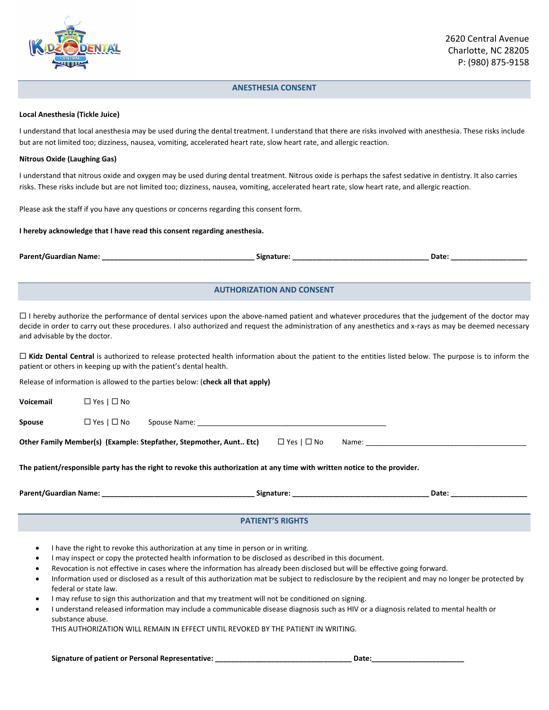

### **ANESTHESIA CONSENT**

#### **Local Anesthesia (Tickle Juice)**

I understand that local anesthesia may be used during the dental treatment. I understand that there are risks involved with anesthesia. These risks include but are not limited too; dizziness, nausea, vomiting, accelerated heart rate, slow heart rate, and allergic reaction.

#### **Nitrous Oxide (Laughing Gas)**

I understand that nitrous oxide and oxygen may be used during dental treatment. Nitrous oxide is perhaps the safest sedative in dentistry. It also carries risks. These risks include but are not limited too; dizziness, nausea, vomiting, accelerated heart rate, slow heart rate, and allergic reaction.

Please ask the staff if you have any questions or concerns regarding this consent form.

#### **I hereby acknowledge that I have read this consent regarding anesthesia.**

**Parent/Guardian Name: \_\_\_\_\_\_\_\_\_\_\_\_\_\_\_\_\_\_\_\_\_\_\_\_\_\_\_\_\_\_\_\_\_\_\_\_\_\_ Signature: \_\_\_\_\_\_\_\_\_\_\_\_\_\_\_\_\_\_\_\_\_\_\_\_\_\_\_\_\_\_\_\_\_\_ Date: \_\_\_\_\_\_\_\_\_\_\_\_\_\_\_\_\_\_\_**

## **AUTHORIZATION AND CONSENT**

 $\Box$  I hereby authorize the performance of dental services upon the above-named patient and whatever procedures that the judgement of the doctor may decide in order to carry out these procedures. I also authorized and request the administration of any anesthetics and x-rays as may be deemed necessary and advisable by the doctor.

□ Kidz Dental Central is authorized to release protected health information about the patient to the entities listed below. The purpose is to inform the patient or others in keeping up with the patient's dental health.

Release of information is allowed to the parties below: (**check all that apply)**

|                                                                                                                           |                      |  |  | Date: |  |
|---------------------------------------------------------------------------------------------------------------------------|----------------------|--|--|-------|--|
| The patient/responsible party has the right to revoke this authorization at any time with written notice to the provider. |                      |  |  |       |  |
| $\Box$ Yes   $\Box$ No<br>Other Family Member(s) (Example: Stepfather, Stepmother, Aunt Etc)                              |                      |  |  |       |  |
| Spouse                                                                                                                    | $\Box$ Yes $\Box$ No |  |  |       |  |
| Voicemail                                                                                                                 | $\Box$ Yes $\Box$ No |  |  |       |  |

# **PATIENT'S RIGHTS**

- I have the right to revoke this authorization at any time in person or in writing.
- I may inspect or copy the protected health information to be disclosed as described in this document.
- Revocation is not effective in cases where the information has already been disclosed but will be effective going forward.
- Information used or disclosed as a result of this authorization mat be subject to redisclosure by the recipient and may no longer be protected by federal or state law.
- I may refuse to sign this authorization and that my treatment will not be conditioned on signing.
- I understand released information may include a communicable disease diagnosis such as HIV or a diagnosis related to mental health or substance abuse.

THIS AUTHORIZATION WILL REMAIN IN EFFECT UNTIL REVOKED BY THE PATIENT IN WRITING.

#### **Signature of patient or Personal Representative: \_\_\_\_\_\_\_\_\_\_\_\_\_\_\_\_\_\_\_\_\_\_\_\_\_\_\_\_\_\_\_\_\_\_ Date:\_\_\_\_\_\_\_\_\_\_\_\_\_\_\_\_\_\_\_\_\_\_\_**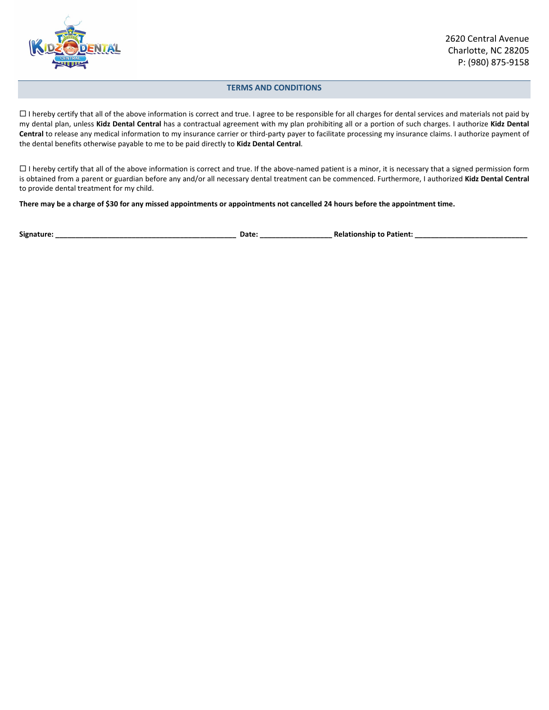

### **TERMS AND CONDITIONS**

 $\Box$  I hereby certify that all of the above information is correct and true. I agree to be responsible for all charges for dental services and materials not paid by my dental plan, unless **Kidz Dental Central** has a contractual agreement with my plan prohibiting all or a portion of such charges. I authorize **Kidz Dental Central** to release any medical information to my insurance carrier or third-party payer to facilitate processing my insurance claims. I authorize payment of the dental benefits otherwise payable to me to be paid directly to **Kidz Dental Central**.

 $\Box$  I hereby certify that all of the above information is correct and true. If the above-named patient is a minor, it is necessary that a signed permission form is obtained from a parent or guardian before any and/or all necessary dental treatment can be commenced. Furthermore, I authorized **Kidz Dental Central** to provide dental treatment for my child.

**There may be a charge of \$30 for any missed appointments or appointments not cancelled 24 hours before the appointment time.**

**Signature: \_\_\_\_\_\_\_\_\_\_\_\_\_\_\_\_\_\_\_\_\_\_\_\_\_\_\_\_\_\_\_\_\_\_\_\_\_\_\_\_\_\_\_\_\_ Date: \_\_\_\_\_\_\_\_\_\_\_\_\_\_\_\_\_\_ Relationship to Patient: \_\_\_\_\_\_\_\_\_\_\_\_\_\_\_\_\_\_\_\_\_\_\_\_\_\_\_\_**